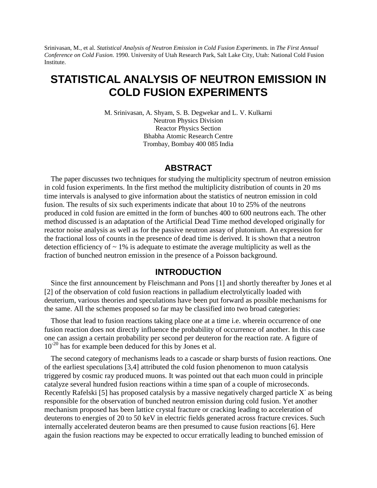Srinivasan, M., et al. *Statistical Analysis of Neutron Emission in Cold Fusion Experiments*. in *The First Annual Conference on Cold Fusion*. 1990. University of Utah Research Park, Salt Lake City, Utah: National Cold Fusion Institute.

# **STATISTICAL ANALYSIS OF NEUTRON EMISSION IN COLD FUSION EXPERIMENTS**

M. Srinivasan, A. Shyam, S. B. Degwekar and L. V. Kulkarni Neutron Physics Division Reactor Physics Section Bhabha Atomic Research Centre Trombay, Bombay 400 085 India

### **ABSTRACT**

The paper discusses two techniques for studying the multiplicity spectrum of neutron emission in cold fusion experiments. In the first method the multiplicity distribution of counts in 20 ms time intervals is analysed to give information about the statistics of neutron emission in cold fusion. The results of six such experiments indicate that about 10 to 25% of the neutrons produced in cold fusion are emitted in the form of bunches 400 to 600 neutrons each. The other method discussed is an adaptation of the Artificial Dead Time method developed originally for reactor noise analysis as well as for the passive neutron assay of plutonium. An expression for the fractional loss of counts in the presence of dead time is derived. It is shown that a neutron detection efficiency of  $\sim 1\%$  is adequate to estimate the average multiplicity as well as the fraction of bunched neutron emission in the presence of a Poisson background.

## **INTRODUCTION**

Since the first announcement by Fleischmann and Pons [1] and shortly thereafter by Jones et al [2] of the observation of cold fusion reactions in palladium electrolytically loaded with deuterium, various theories and speculations have been put forward as possible mechanisms for the same. All the schemes proposed so far may be classified into two broad categories:

Those that lead to fusion reactions taking place one at a time i.e. wherein occurrence of one fusion reaction does not directly influence the probability of occurrence of another. In this case one can assign a certain probability per second per deuteron for the reaction rate. A figure of 10<sup>-20</sup> has for example been deduced for this by Jones et al.

The second category of mechanisms leads to a cascade or sharp bursts of fusion reactions. One of the earliest speculations [3,4] attributed the cold fusion phenomenon to muon catalysis triggered by cosmic ray produced muons. It was pointed out that each muon could in principle catalyze several hundred fusion reactions within a time span of a couple of microseconds. Recently Rafelski [5] has proposed catalysis by a massive negatively charged particle X as being responsible for the observation of bunched neutron emission during cold fusion. Yet another mechanism proposed has been lattice crystal fracture or cracking leading to acceleration of deuterons to energies of 20 to 50 keV in electric fields generated across fracture crevices. Such internally accelerated deuteron beams are then presumed to cause fusion reactions [6]. Here again the fusion reactions may be expected to occur erratically leading to bunched emission of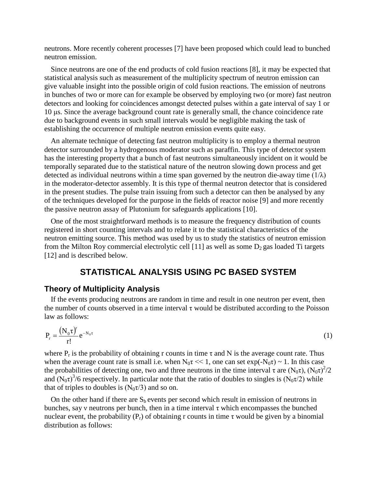neutrons. More recently coherent processes [7] have been proposed which could lead to bunched neutron emission.

Since neutrons are one of the end products of cold fusion reactions [8], it may be expected that statistical analysis such as measurement of the multiplicity spectrum of neutron emission can give valuable insight into the possible origin of cold fusion reactions. The emission of neutrons in bunches of two or more can for example be observed by employing two (or more) fast neutron detectors and looking for coincidences amongst detected pulses within a gate interval of say 1 or 10 μs. Since the average background count rate is generally small, the chance coincidence rate due to background events in such small intervals would be negligible making the task of establishing the occurrence of multiple neutron emission events quite easy.

An alternate technique of detecting fast neutron multiplicity is to employ a thermal neutron detector surrounded by a hydrogenous moderator such as paraffin. This type of detector system has the interesting property that a bunch of fast neutrons simultaneously incident on it would be temporally separated due to the statistical nature of the neutron slowing down process and get detected as individual neutrons within a time span governed by the neutron die-away time  $(1/\lambda)$ in the moderator-detector assembly. It is this type of thermal neutron detector that is considered in the present studies. The pulse train issuing from such a detector can then be analysed by any of the techniques developed for the purpose in the fields of reactor noise [9] and more recently the passive neutron assay of Plutonium for safeguards applications [10].

One of the most straightforward methods is to measure the frequency distribution of counts registered in short counting intervals and to relate it to the statistical characteristics of the neutron emitting source. This method was used by us to study the statistics of neutron emission from the Milton Roy commercial electrolytic cell [11] as well as some  $D_2$  gas loaded Ti targets [12] and is described below.

## **STATISTICAL ANALYSIS USING PC BASED SYSTEM**

### **Theory of Multiplicity Analysis**

If the events producing neutrons are random in time and result in one neutron per event, then the number of counts observed in a time interval  $\tau$  would be distributed according to the Poisson law as follows:

$$
P_r = \frac{(N_0 \tau)^r}{r!} e^{-N_0 \tau} \tag{1}
$$

where  $P_r$  is the probability of obtaining r counts in time  $\tau$  and N is the average count rate. Thus when the average count rate is small i.e. when  $N_0\tau \ll 1$ , one can set  $\exp(-N_0\tau) \sim 1$ . In this case the probabilities of detecting one, two and three neutrons in the time interval  $\tau$  are  $(N_0\tau)$ ,  $(N_0\tau)^2/2$ and  $(N_0\tau)^3/6$  respectively. In particular note that the ratio of doubles to singles is  $(N_0\tau/2)$  while that of triples to doubles is  $(N_0\tau/3)$  and so on.

On the other hand if there are  $S_b$  events per second which result in emission of neutrons in bunches, say v neutrons per bunch, then in a time interval  $\tau$  which encompasses the bunched nuclear event, the probability ( $P_r$ ) of obtaining r counts in time  $\tau$  would be given by a binomial distribution as follows: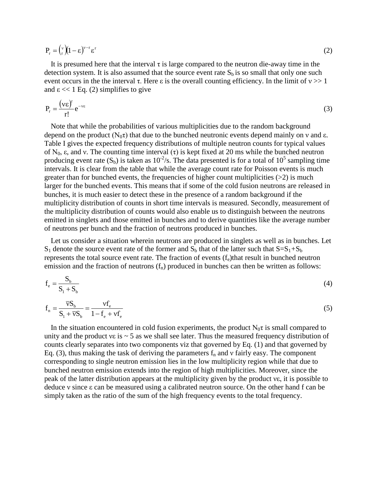$$
P_r = {v \choose r} (1 - \varepsilon)^{v - r} \varepsilon^r
$$
 (2)

It is presumed here that the interval  $\tau$  is large compared to the neutron die-away time in the detection system. It is also assumed that the source event rate  $S_b$  is so small that only one such event occurs in the the interval  $\tau$ . Here  $\varepsilon$  is the overall counting efficiency. In the limit of  $v \gg 1$ and  $\varepsilon \ll 1$  Eq. (2) simplifies to give

$$
P_r = \frac{(\nu \varepsilon)^r}{r!} e^{-\nu \varepsilon}
$$
 (3)

Note that while the probabilities of various multiplicities due to the random background depend on the product ( $N_0\tau$ ) that due to the bunched neutronic events depend mainly on ν and ε. Table I gives the expected frequency distributions of multiple neutron counts for typical values of N<sub>0</sub>, ε, and v. The counting time interval (τ) is kept fixed at 20 ms while the bunched neutron producing event rate  $(S_b)$  is taken as  $10^{-2}/s$ . The data presented is for a total of  $10^5$  sampling time intervals. It is clear from the table that while the average count rate for Poisson events is much greater than for bunched events, the frequencies of higher count multiplicities  $(>2)$  is much larger for the bunched events. This means that if some of the cold fusion neutrons are released in bunches, it is much easier to detect these in the presence of a random background if the multiplicity distribution of counts in short time intervals is measured. Secondly, measurement of the multiplicity distribution of counts would also enable us to distinguish between the neutrons emitted in singlets and those emitted in bunches and to derive quantities like the average number of neutrons per bunch and the fraction of neutrons produced in bunches.

Let us consider a situation wherein neutrons are produced in singlets as well as in bunches. Let  $S_1$  denote the source event rate of the former and  $S_b$  that of the latter such that  $S=S_1+S_b$ represents the total source event rate. The fraction of events  $(f_e)$ that result in bunched neutron emission and the fraction of neutrons  $(f_n)$  produced in bunches can then be written as follows:

$$
f_e = \frac{S_b}{S_1 + S_b} \tag{4}
$$

$$
f_n = \frac{\overline{v}S_b}{S_1 + \overline{v}S_b} = \frac{vf_e}{1 - f_e + vf_e}
$$
\n
$$
\tag{5}
$$

In the situation encountered in cold fusion experiments, the product  $N_0\tau$  is small compared to unity and the product  $v\epsilon$  is  $\sim$  5 as we shall see later. Thus the measured frequency distribution of counts clearly separates into two components viz that governed by Eq. (1) and that governed by Eq. (3), thus making the task of deriving the parameters  $f_n$  and v fairly easy. The component corresponding to single neutron emission lies in the low multiplicity region while that due to bunched neutron emission extends into the region of high multiplicities. Moreover, since the peak of the latter distribution appears at the multiplicity given by the product νε, it is possible to deduce νsince εcan be measured using a calibrated neutron source. On the other hand f can be simply taken as the ratio of the sum of the high frequency events to the total frequency.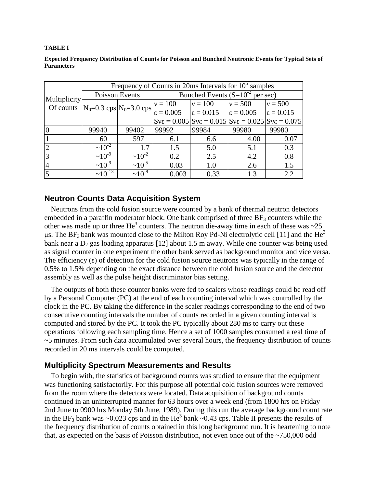#### **TABLE I**

| <b>Expected Frequency Distribution of Counts for Poisson and Bunched Neutronic Events for Typical Sets of</b> |  |
|---------------------------------------------------------------------------------------------------------------|--|
| <b>Parameters</b>                                                                                             |  |

|                                                                      | Frequency of Counts in 20ms Intervals for $105$ samples |                |                                                                                |                                       |           |                    |  |  |  |  |  |  |  |  |
|----------------------------------------------------------------------|---------------------------------------------------------|----------------|--------------------------------------------------------------------------------|---------------------------------------|-----------|--------------------|--|--|--|--|--|--|--|--|
|                                                                      |                                                         | Poisson Events | Bunched Events $(S=10^{-2} \text{ per sec})$                                   |                                       |           |                    |  |  |  |  |  |  |  |  |
| Multiplicity<br>Of counts $ N_0=0.3 \text{ cps} N_0=3.0 \text{ cps}$ |                                                         |                | $v = 100$                                                                      | $v = 100$                             | $v = 500$ | $v = 500$          |  |  |  |  |  |  |  |  |
|                                                                      |                                                         |                | $\epsilon = 0.005$                                                             | $\epsilon = 0.015$ $\epsilon = 0.005$ |           | $\epsilon = 0.015$ |  |  |  |  |  |  |  |  |
|                                                                      |                                                         |                | $ Sv\epsilon = 0.005 Sv\epsilon = 0.015 Sv\epsilon = 0.025 Sv\epsilon = 0.075$ |                                       |           |                    |  |  |  |  |  |  |  |  |
|                                                                      | 99940                                                   | 99402          | 99992                                                                          | 99984                                 | 99980     | 99980              |  |  |  |  |  |  |  |  |
|                                                                      | 60                                                      | 597            | 6.1                                                                            | 6.6                                   | 4.00      | 0.07               |  |  |  |  |  |  |  |  |
|                                                                      | $\sim 10^{-2}$                                          | 1.7            | 1.5                                                                            | 5.0                                   | 5.1       | 0.3                |  |  |  |  |  |  |  |  |
|                                                                      | $\sim 10^{-9}$                                          | $\sim 10^{-2}$ | 0.2                                                                            | 2.5                                   | 4.2       | 0.8                |  |  |  |  |  |  |  |  |
| $\overline{4}$                                                       | $\approx 10^{-9}$                                       | $\sim 10^{-5}$ | 0.03                                                                           | 1.0                                   | 2.6       | 1.5                |  |  |  |  |  |  |  |  |
|                                                                      | $~10^{-13}$                                             | $\sim 10^{-8}$ | 0.003                                                                          | 0.33                                  | 1.3       | 2.2                |  |  |  |  |  |  |  |  |

### **Neutron Counts Data Acquisition System**

Neutrons from the cold fusion source were counted by a bank of thermal neutron detectors embedded in a paraffin moderator block. One bank comprised of three  $BF_3$  counters while the other was made up or three He<sup>3</sup> counters. The neutron die-away time in each of these was  $\sim$ 25 μs. The BF<sub>3</sub> bank was mounted close to the Milton Roy Pd-Ni electrolytic cell [11] and the He<sup>3</sup> bank near a  $D_2$  gas loading apparatus [12] about 1.5 m away. While one counter was being used as signal counter in one experiment the other bank served as background monitor and vice versa. The efficiency  $(\epsilon)$  of detection for the cold fusion source neutrons was typically in the range of 0.5% to 1.5% depending on the exact distance between the cold fusion source and the detector assembly as well as the pulse height discriminator bias setting.

The outputs of both these counter banks were fed to scalers whose readings could be read off by a Personal Computer (PC) at the end of each counting interval which was controlled by the clock in the PC. By taking the difference in the scaler readings corresponding to the end of two consecutive counting intervals the number of counts recorded in a given counting interval is computed and stored by the PC. It took the PC typically about 280 ms to carry out these operations following each sampling time. Hence a set of 1000 samples consumed a real time of ~5 minutes. From such data accumulated over several hours, the frequency distribution of counts recorded in 20 ms intervals could be computed.

### **Multiplicity Spectrum Measurements and Results**

To begin with, the statistics of background counts was studied to ensure that the equipment was functioning satisfactorily. For this purpose all potential cold fusion sources were removed from the room where the detectors were located. Data acquisition of background counts continued in an uninterrupted manner for 63 hours over a week end (from 1800 hrs on Friday 2nd June to 0900 hrs Monday 5th June, 1989). During this run the average background count rate in the BF<sub>3</sub> bank was ~0.023 cps and in the He<sup>3</sup> bank ~0.43 cps. Table II presents the results of the frequency distribution of counts obtained in this long background run. It is heartening to note that, as expected on the basis of Poisson distribution, not even once out of the ~750,000 odd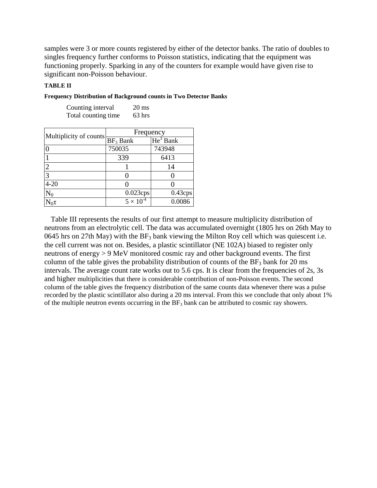samples were 3 or more counts registered by either of the detector banks. The ratio of doubles to singles frequency further conforms to Poisson statistics, indicating that the equipment was functioning properly. Sparking in any of the counters for example would have given rise to significant non-Poisson behaviour.

### **TABLE II**

| Counting interval      | $20 \text{ ms}$    |            |
|------------------------|--------------------|------------|
| Total counting time    | $63$ hrs           |            |
|                        |                    |            |
| Multiplicity of counts | Frequency          |            |
|                        | $BF_3$ Bank        | $He3$ Bank |
| 0                      | 750035             | 743948     |
|                        | 339                | 6413       |
| $\overline{2}$         |                    | 14         |
| $\overline{3}$         |                    |            |
| $4 - 20$               |                    |            |
| $\mathrm{N}_0$         | $0.023$ cps        | $0.43$ cps |
|                        | $5 \times 10^{-4}$ | 0.0086     |

**Frequency Distribution of Background counts in Two Detector Banks**

Table III represents the results of our first attempt to measure multiplicity distribution of neutrons from an electrolytic cell. The data was accumulated overnight (1805 hrs on 26th May to 0645 hrs on 27th May) with the  $BF_3$  bank viewing the Milton Roy cell which was quiescent i.e. the cell current was not on. Besides, a plastic scintillator (NE 102A) biased to register only neutrons of energy > 9 MeV monitored cosmic ray and other background events. The first column of the table gives the probability distribution of counts of the  $BF_3$  bank for 20 ms intervals. The average count rate works out to 5.6 cps. It is clear from the frequencies of 2s, 3s and higher multiplicities that there is considerable contribution of non-Poisson events. The second column of the table gives the frequency distribution of the same counts data whenever there was a pulse recorded by the plastic scintillator also during a 20 ms interval. From this we conclude that only about 1% of the multiple neutron events occurring in the  $BF_3$  bank can be attributed to cosmic ray showers.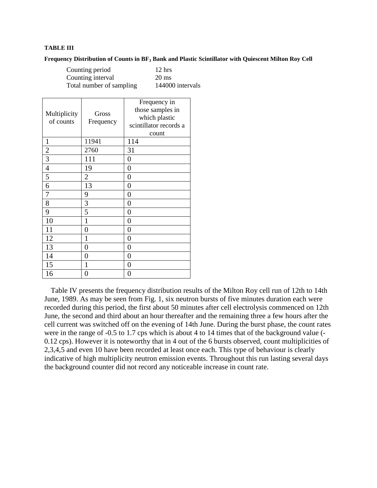#### **TABLE III**

#### **Frequency Distribution of Counts in BF<sup>3</sup> Bank and Plastic Scintillator with Quiescent Milton Roy Cell**

| Counting period          |  |
|--------------------------|--|
| Counting interval        |  |
| Total number of sampling |  |

 $12$  hrs  $20$  ms 144000 intervals

| Multiplicity<br>of counts | Gross<br>Frequency | Frequency in<br>those samples in<br>which plastic<br>scintillator records a<br>count |
|---------------------------|--------------------|--------------------------------------------------------------------------------------|
| $\mathbf{1}$              | 11941              | 114                                                                                  |
| $\overline{c}$            | 2760               | 31                                                                                   |
| 3                         | 111                | 0                                                                                    |
| $\overline{4}$            | 19                 | 0                                                                                    |
| 5                         | $\overline{2}$     | 0                                                                                    |
| 6                         | 13                 | 0                                                                                    |
| 7                         | 9                  | $\overline{0}$                                                                       |
| 8                         | 3                  | 0                                                                                    |
| 9                         | 5                  | $\overline{0}$                                                                       |
| 10                        | 1                  | 0                                                                                    |
| 11                        | $\overline{0}$     | 0                                                                                    |
| 12                        | 1                  | $\overline{0}$                                                                       |
| 13                        | $\overline{0}$     | 0                                                                                    |
| 14                        | 0                  | 0                                                                                    |
| 15                        | 1                  | 0                                                                                    |
| 16                        | 0                  | 0                                                                                    |

Table IV presents the frequency distribution results of the Milton Roy cell run of 12th to 14th June, 1989. As may be seen from Fig. 1, six neutron bursts of five minutes duration each were recorded during this period, the first about 50 minutes after cell electrolysis commenced on 12th June, the second and third about an hour thereafter and the remaining three a few hours after the cell current was switched off on the evening of 14th June. During the burst phase, the count rates were in the range of -0.5 to 1.7 cps which is about 4 to 14 times that of the background value (-0.12 cps). However it is noteworthy that in 4 out of the 6 bursts observed, count multiplicities of 2,3,4,5 and even 10 have been recorded at least once each. This type of behaviour is clearly indicative of high multiplicity neutron emission events. Throughout this run lasting several days the background counter did not record any noticeable increase in count rate.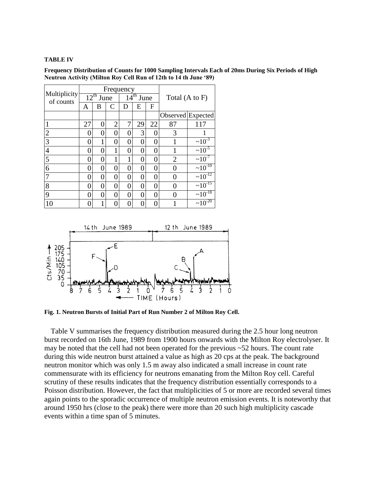#### **TABLE IV**

**Frequency Distribution of Counts for 1000 Sampling Intervals Each of 20ms During Six Periods of High** Neutron Activity (Milton Roy Cell Run of 12th to 14 th June '89)

|                           |    |                  |                | Frequency      |                           |    |                |                   |  |  |
|---------------------------|----|------------------|----------------|----------------|---------------------------|----|----------------|-------------------|--|--|
| Multiplicity<br>of counts |    | $12^{th}$ June   |                |                | $\overline{14^{th}}$ June |    | Total (A to F) |                   |  |  |
|                           | A  | B                | C<br>D         |                | Е                         | F  |                |                   |  |  |
|                           |    |                  |                |                |                           |    |                | Observed Expected |  |  |
|                           | 27 | 0                | $\overline{2}$ | 7              | 29                        | 22 | 87             | 117               |  |  |
| $\overline{2}$            |    | $\left( \right)$ | 0              | 0              | 3                         |    | 3              |                   |  |  |
| 3                         | 0  | 1                | $\overline{0}$ | $\overline{0}$ | 0                         | 0  |                | $\approx 10^{-3}$ |  |  |
| $\overline{4}$            | 0  | 0                | 1              | 0              | 0                         | 0  |                | $~10^{-5}$        |  |  |
| 5                         | 0  | $\mathcal{O}$    | 1              | 1              | 0                         | 0  | $\overline{2}$ | $~10^{-7}$        |  |  |
| 6                         | 0  | 0                | 0              | $\overline{0}$ | 0                         | 0  | 0              | $~10^{-10}$       |  |  |
|                           | 0  | 0                | 0              | 0              | 0                         | 0  | 0              | $\sim 10^{-12}$   |  |  |
| 8                         | 0  | 0                | 0              | $\overline{0}$ | 0                         | 0  | 0              | $\sim 10^{-15}$   |  |  |
| 9                         | 0  | 0                | 0              | $\overline{0}$ | 0                         | 0  | 0              | $\sim 10^{-18}$   |  |  |
| 10                        |    |                  | 0              | 0              | 0                         | 0  |                | $\sim 10^{-20}$   |  |  |



**Fig. 1. Neutron Bursts of Initial Part of Run Number 2 of Milton Roy Cell.**

Table V summarises the frequency distribution measured during the 2.5 hour long neutron burst recorded on 16th June, 1989 from 1900 hours onwards with the Milton Roy electrolyser. It may be noted that the cell had not been operated for the previous ~52 hours. The count rate during this wide neutron burst attained a value as high as 20 cps at the peak. The background neutron monitor which was only 1.5 m away also indicated a small increase in count rate commensurate with its efficiency for neutrons emanating from the Milton Roy cell. Careful scrutiny of these results indicates that the frequency distribution essentially corresponds to a Poisson distribution. However, the fact that multiplicities of 5 or more are recorded several times again points to the sporadic occurrence of multiple neutron emission events. It is noteworthy that around 1950 hrs (close to the peak) there were more than 20 such high multiplicity cascade events within a time span of 5 minutes.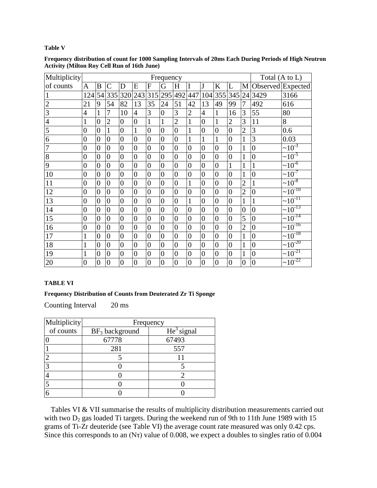#### **Table V**

| Multiplicity   | Frequency        |                |                  |                  |                  |                  |                  |                  |                  |                  |                  |                  |                  | Total (A to L)   |                     |  |
|----------------|------------------|----------------|------------------|------------------|------------------|------------------|------------------|------------------|------------------|------------------|------------------|------------------|------------------|------------------|---------------------|--|
| of counts      | $\mathbf{A}$     | B              | $\mathcal{C}$    | D                | E                | $\mathbf{F}$     | G                | H                | I                | J                | K                | L                | M                |                  | Observed Expected   |  |
| 1              | 124              | 54             | 335              | 320              | 243              | 315              | 295              | 492              | 447              | 104              | 355              | 345              | 24               | 3429             | 3166                |  |
| $\overline{2}$ | 21               | 9              | 54               | 82               | 13               | 35               | 24               | 51               | 42               | 13               | 49               | 99               | 7                | 492              | 616                 |  |
| $\overline{3}$ | $\overline{4}$   | $\mathbf{1}$   | 7                | 10               | $\overline{4}$   | 3                | $\boldsymbol{0}$ | 3                | $\overline{2}$   | $\overline{4}$   | $\mathbf{1}$     | 16               | 3                | 55               | 80                  |  |
| $\overline{4}$ | $\mathbf{1}$     | $\overline{0}$ | $\overline{2}$   | $\overline{0}$   | $\overline{0}$   | $\mathbf{1}$     | $\mathbf{1}$     | $\overline{2}$   | $\mathbf{1}$     | $\overline{0}$   | $\mathbf{1}$     | $\overline{2}$   | 3                | 11               | 8                   |  |
| $\overline{5}$ | $\overline{0}$   | $\overline{0}$ | $\mathbf{1}$     | $\overline{0}$   | $\mathbf{1}$     | $\overline{0}$   | $\overline{0}$   | $\overline{0}$   | $\mathbf{1}$     | $\overline{0}$   | $\overline{0}$   | $\overline{0}$   | $\overline{2}$   | 3                | 0.6                 |  |
| 6              | $\overline{0}$   | $\overline{0}$ | $\overline{0}$   | $\overline{0}$   | $\overline{0}$   | $\overline{0}$   | $\overline{0}$   | $\overline{0}$   | $\mathbf{1}$     | $\mathbf{1}$     | $\mathbf{1}$     | $\overline{0}$   | $\mathbf{1}$     | 3                | 0.03                |  |
| $\overline{7}$ | $\overline{0}$   | $\overline{0}$ | $\boldsymbol{0}$ | $\boldsymbol{0}$ | $\overline{0}$   | $\overline{0}$   | $\boldsymbol{0}$ | $\boldsymbol{0}$ | $\boldsymbol{0}$ | $\boldsymbol{0}$ | $\boldsymbol{0}$ | $\boldsymbol{0}$ | 1                | $\boldsymbol{0}$ | $\sim 10^{-3}$      |  |
| $\overline{8}$ | $\boldsymbol{0}$ | $\overline{0}$ | $\boldsymbol{0}$ | $\boldsymbol{0}$ | $\overline{0}$   | $\boldsymbol{0}$ | $\overline{0}$   | $\boldsymbol{0}$ | $\overline{0}$   | $\boldsymbol{0}$ | $\boldsymbol{0}$ | $\boldsymbol{0}$ | 1                | $\overline{0}$   | $\sim 10^{-5}$      |  |
| 9              | $\overline{0}$   | $\overline{0}$ | $\overline{0}$   | $\overline{0}$   | $\overline{0}$   | $\overline{0}$   | $\overline{0}$   | $\overline{0}$   | $\overline{0}$   | $\overline{0}$   | $\overline{0}$   | $^{\prime}1$     | $\mathbf{1}$     | 1                | $\sim 10^{-6}$      |  |
| 10             | $\overline{0}$   | $\overline{0}$ | $\overline{0}$   | $\overline{0}$   | $\overline{0}$   | $\overline{0}$   | $\overline{0}$   | $\overline{0}$   | $\overline{0}$   | $\boldsymbol{0}$ | $\boldsymbol{0}$ | $\overline{0}$   | 1                | $\overline{0}$   | $\sim 10^{-7}$      |  |
| 11             | $\overline{0}$   | $\overline{0}$ | $\boldsymbol{0}$ | $\overline{0}$   | $\overline{0}$   | $\overline{0}$   | $\overline{0}$   | $\overline{0}$   | $\mathbf{1}$     | $\boldsymbol{0}$ | $\boldsymbol{0}$ | $\overline{0}$   | $\overline{2}$   | 1                | $\frac{10^{-8}}{2}$ |  |
| 12             | $\overline{0}$   | $\overline{0}$ | $\overline{0}$   | $\overline{0}$   | $\overline{0}$   | $\overline{0}$   | $\overline{0}$   | $\overline{0}$   | $\overline{0}$   | $\overline{0}$   | $\overline{0}$   | $\overline{0}$   | $\overline{2}$   | $\overline{0}$   | $~10^{-10}$         |  |
| 13             | $\overline{0}$   | $\overline{0}$ | $\boldsymbol{0}$ | $\overline{0}$   | $\overline{0}$   | $\overline{0}$   | $\overline{0}$   | $\overline{0}$   | $\mathbf{1}$     | $\boldsymbol{0}$ | $\boldsymbol{0}$ | $\boldsymbol{0}$ | $\mathbf{1}$     | 1                | $~10^{-11}$         |  |
| 14             | $\overline{0}$   | $\overline{0}$ | $\overline{0}$   | $\overline{0}$   | $\overline{0}$   | $\overline{0}$   | $\overline{0}$   | $\overline{0}$   | $\boldsymbol{0}$ | $\boldsymbol{0}$ | $\boldsymbol{0}$ | $\boldsymbol{0}$ | $\overline{0}$   | $\boldsymbol{0}$ | $\sim 10^{-13}$     |  |
| 15             | $\overline{0}$   | $\overline{0}$ | $\overline{0}$   | $\overline{0}$   | $\overline{0}$   | $\overline{0}$   | $\overline{0}$   | $\overline{0}$   | $\overline{0}$   | $\overline{0}$   | $\overline{0}$   | $\overline{0}$   | 5                | $\overline{0}$   | $\sim 10^{-14}$     |  |
| 16             | $\overline{0}$   | $\overline{0}$ | $\overline{0}$   | $\overline{0}$   | $\overline{0}$   | $\overline{0}$   | $\overline{0}$   | $\overline{0}$   | $\overline{0}$   | $\overline{0}$   | $\overline{0}$   | $\overline{0}$   | $\overline{2}$   | $\boldsymbol{0}$ | $\sim 10^{-16}$     |  |
| 17             | $\mathbf{1}$     | $\overline{0}$ | $\overline{0}$   | $\overline{0}$   | $\overline{0}$   | $\overline{0}$   | $\overline{0}$   | $\overline{0}$   | $\overline{0}$   | $\boldsymbol{0}$ | $\overline{0}$   | $\overline{0}$   | 1                | $\overline{0}$   | $\sim 10^{-18}$     |  |
| 18             | $\mathbf{1}$     | $\overline{0}$ | $\boldsymbol{0}$ | $\boldsymbol{0}$ | $\overline{0}$   | $\overline{0}$   | $\overline{0}$   | $\overline{0}$   | $\overline{0}$   | $\boldsymbol{0}$ | $\boldsymbol{0}$ | $\boldsymbol{0}$ | 1                | $\boldsymbol{0}$ | $\sim 10^{-20}$     |  |
| 19             | $\mathbf{1}$     | $\overline{0}$ | $\boldsymbol{0}$ | $\overline{0}$   | $\overline{0}$   | $\overline{0}$   | $\overline{0}$   | $\overline{0}$   | $\overline{0}$   | $\overline{0}$   | $\boldsymbol{0}$ | $\boldsymbol{0}$ | $\mathbf{1}$     | $\overline{0}$   | $\sim 10^{-21}$     |  |
| 20             | $\overline{0}$   | $\overline{0}$ | $\overline{0}$   | $\boldsymbol{0}$ | $\boldsymbol{0}$ | $\boldsymbol{0}$ | $\boldsymbol{0}$ | $\boldsymbol{0}$ | $\overline{0}$   | $\boldsymbol{0}$ | $\boldsymbol{0}$ | $\overline{0}$   | $\boldsymbol{0}$ | $\overline{0}$   | $\sim 10^{-22}$     |  |

**Frequency distribution of count for 1000 Sampling Intervals of 20ms Each During Periods of High Neutron Activity (Milton Roy Cell Run of 16th June)**

#### **TABLE VI**

#### **Frequency Distribution of Counts from Deuterated Zr Ti Sponge**

Counting Interval 20 ms

| Multiplicity | Frequency                  |              |  |  |  |  |  |  |  |  |  |
|--------------|----------------------------|--------------|--|--|--|--|--|--|--|--|--|
| of counts    | BF <sub>3</sub> background | $He3$ signal |  |  |  |  |  |  |  |  |  |
|              | 67778                      | 67493        |  |  |  |  |  |  |  |  |  |
|              | 281                        | 557          |  |  |  |  |  |  |  |  |  |
| ി            |                            |              |  |  |  |  |  |  |  |  |  |
|              |                            |              |  |  |  |  |  |  |  |  |  |
|              |                            |              |  |  |  |  |  |  |  |  |  |
|              |                            |              |  |  |  |  |  |  |  |  |  |
|              |                            |              |  |  |  |  |  |  |  |  |  |

Tables VI & VII summarise the results of multiplicity distribution measurements carried out with two  $D_2$  gas loaded Ti targets. During the weekend run of 9th to 11th June 1989 with 15 grams of Ti-Zr deuteride (see Table VI) the average count rate measured was only 0.42 cps. Since this corresponds to an (N $\tau$ ) value of 0.008, we expect a doubles to singles ratio of 0.004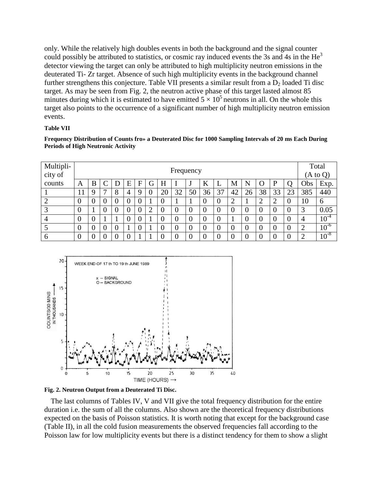only. While the relatively high doubles events in both the background and the signal counter could possibly be attributed to statistics, or cosmic ray induced events the 3s and 4s in the  $He<sup>3</sup>$ detector viewing the target can only be attributed to high multiplicity neutron emissions in the deuterated Ti- Zr target. Absence of such high multiplicity events in the background channel further strengthens this conjecture. Table VII presents a similar result from a  $D_2$  loaded Ti disc target. As may be seen from Fig. 2, the neutron active phase of this target lasted almost 85 minutes during which it is estimated to have emitted  $5 \times 10^5$  neutrons in all. On the whole this target also points to the occurrence of a significant number of high multiplicity neutron emission events.

#### **Table VII**

**Frequency Distribution of Counts fro» a Deuterated Disc for 1000 Sampling Intervals of 20 ms Each During Periods of High Neutronic Activity**

| Multipli-<br>city of |          | Frequency |  |   |   |   |   |                  |          |    |                |                |          |          |    | Total<br>$(A \text{ to } Q)$ |          |     |           |
|----------------------|----------|-----------|--|---|---|---|---|------------------|----------|----|----------------|----------------|----------|----------|----|------------------------------|----------|-----|-----------|
| counts               | A        | Β         |  | D | E | F | G | Η                |          | ٠J | K              | ┻              | M        | N        | Ő  | P                            | О        | Obs | Exp.      |
|                      | 11       | Q         |  | 8 | 4 | Q |   | 20               | 32       | 50 | 36             | 37             | 42       | 26       | 38 | 33                           | 23       | 385 | 440       |
|                      | 0        |           |  |   |   |   |   | $\boldsymbol{0}$ |          |    | 0              | $\theta$       | ⌒<br>∠   |          |    | 2                            | $\bf{0}$ | 10  | 6         |
| ◠                    | 0        |           |  |   |   |   |   | $\overline{0}$   |          |    |                | $\theta$       | $\theta$ |          |    | $\overline{0}$               | $\Omega$ | 3   | 0.05      |
| $\overline{4}$       | 0        |           |  |   |   |   |   | $\boldsymbol{0}$ |          |    | $\overline{0}$ | $\overline{0}$ |          |          |    | $\theta$                     | $\theta$ | 4   | $10^{-4}$ |
|                      | $\theta$ |           |  | 0 |   | U |   | $\overline{0}$   | $\theta$ |    | 0              | $\theta$       | $\theta$ | $\theta$ | -0 | $\theta$                     | $\theta$ | ∠   | $10^{-6}$ |
| $\mathbf b$          | 0        |           |  |   |   |   |   | $\overline{0}$   |          |    |                | $\theta$       | $\Omega$ |          |    | $\theta$                     | $\theta$ |     | $10^{-8}$ |





The last columns of Tables IV, V and VII give the total frequency distribution for the entire duration i.e. the sum of all the columns. Also shown are the theoretical frequency distributions expected on the basis of Poisson statistics. It is worth noting that except for the background case (Table II), in all the cold fusion measurements the observed frequencies fall according to the Poisson law for low multiplicity events but there is a distinct tendency for them to show a slight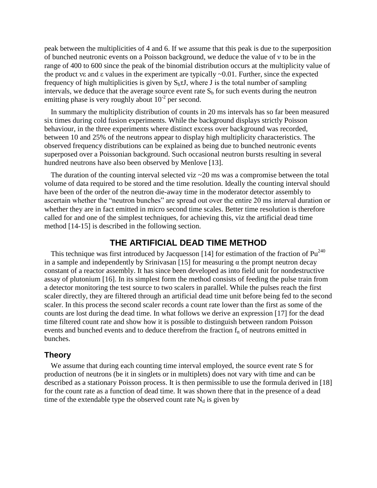peak between the multiplicities of 4 and 6. If we assume that this peak is due to the superposition of bunched neutronic events on a Poisson background, we deduce the value of νto be in the range of 400 to 600 since the peak of the binomial distribution occurs at the multiplicity value of the product ve and  $\varepsilon$  values in the experiment are typically  $\sim 0.01$ . Further, since the expected frequency of high multiplicities is given by  $S_b \tau J$ , where J is the total number of sampling intervals, we deduce that the average source event rate  $S_b$  for such events during the neutron emitting phase is very roughly about  $10^{-2}$  per second.

In summary the multiplicity distribution of counts in 20 ms intervals has so far been measured six times during cold fusion experiments. While the background displays strictly Poisson behaviour, in the three experiments where distinct excess over background was recorded, between 10 and 25% of the neutrons appear to display high multiplicity characteristics. The observed frequency distributions can be explained as being due to bunched neutronic events superposed over a Poissonian background. Such occasional neutron bursts resulting in several hundred neutrons have also been observed by Menlove [13].

The duration of the counting interval selected viz  $\sim$  20 ms was a compromise between the total volume of data required to be stored and the time resolution. Ideally the counting interval should have been of the order of the neutron die-away time in the moderator detector assembly to ascertain whether the "neutron bunches" are spread out over the entire 20 ms interval duration or whether they are in fact emitted in micro second time scales. Better time resolution is therefore called for and one of the simplest techniques, for achieving this, viz the artificial dead time method [14-15] is described in the following section.

## **THE ARTIFICIAL DEAD TIME METHOD**

This technique was first introduced by Jacquesson [14] for estimation of the fraction of  $Pu^{240}$ in a sample and independently by Srinivasan [15] for measuring  $\alpha$  the prompt neutron decay constant of a reactor assembly. It has since been developed as into field unit for nondestructive assay of plutonium [16]. In its simplest form the method consists of feeding the pulse train from a detector monitoring the test source to two scalers in parallel. While the pulses reach the first scaler directly, they are filtered through an artificial dead time unit before being fed to the second scaler. In this process the second scaler records a count rate lower than the first as some of the counts are lost during the dead time. In what follows we derive an expression [17] for the dead time filtered count rate and show how it is possible to distinguish between random Poisson events and bunched events and to deduce therefrom the fraction  $f_n$  of neutrons emitted in bunches.

### **Theory**

We assume that during each counting time interval employed, the source event rate S for production of neutrons (be it in singlets or in multiplets) does not vary with time and can be described as a stationary Poisson process. It is then permissible to use the formula derived in [18] for the count rate as a function of dead time. It was shown there that in the presence of a dead time of the extendable type the observed count rate  $N_d$  is given by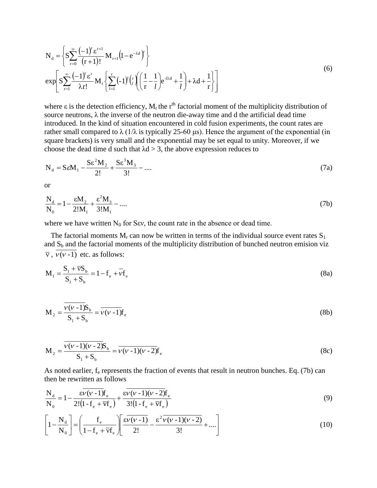$$
N_{d} = \left\{ S \sum_{r=0}^{\infty} \frac{(-1)^{r} \varepsilon^{r+1}}{(r+1)!} M_{r+1} (1 - e^{-\lambda d})^{r} \right\}
$$
  
\n
$$
\exp \left[ S \sum_{r=1}^{\infty} \frac{(-1)^{r} \varepsilon^{r}}{\lambda r!} M_{r} \left\{ \sum_{l=1}^{r} (-1)^{l} {r \choose l} \left( \frac{1}{r} - \frac{1}{l} \right) e^{-\lambda d} + \frac{1}{l} \right\} + \lambda d + \frac{1}{r} \right\} \right]
$$
\n(6)

where  $\varepsilon$  is the detection efficiency,  $M_r$  the r<sup>th</sup> factorial moment of the multiplicity distribution of source neutrons,  $\lambda$  the inverse of the neutron die-away time and d the artificial dead time introduced. In the kind of situation encountered in cold fusion experiments, the count rates are rather small compared to  $\lambda$  (1/ $\lambda$  is typically 25-60 µs). Hence the argument of the exponential (in square brackets) is very small and the exponential may be set equal to unity. Moreover, if we choose the dead time d such that  $\lambda$ d > 3, the above expression reduces to

$$
N_d = S\epsilon M_1 - \frac{S\epsilon^2 M_2}{2!} + \frac{S\epsilon^3 M_3}{3!} - \dots
$$
 (7a)

or

$$
\frac{N_d}{N_0} = 1 - \frac{\varepsilon M_2}{2! M_1} + \frac{\varepsilon^2 M_3}{3! M_1} - \dots
$$
 (7b)

where we have written  $N_0$  for Sev, the count rate in the absence or dead time.

The factorial moments  $M_r$  can now be written in terms of the individual source event rates  $S_1$ and  $S_b$  and the factorial moments of the multiplicity distribution of bunched neutron emision viz  $\overline{v}$ ,  $\overline{v(v-1)}$  etc. as follows:

$$
M_1 = \frac{S_1 + \overline{v}S_b}{S_1 + S_b} = 1 - f_e + \overline{v}f_e
$$
\n(8a)

$$
M_2 = \frac{\overline{v(v-1)}S_b}{S_1 + S_b} = \overline{v(v-1)}f_e
$$
 (8b)

$$
M_2 = \frac{\overline{v(v-1)(v-2)}S_b}{S_1 + S_b} = \overline{v(v-1)(v-2)}f_e
$$
 (8c)

As noted earlier,  $f_e$  represents the fraction of events that result in neutron bunches. Eq. (7b) can then be rewritten as follows

$$
\frac{N_d}{N_0} = 1 - \frac{\varepsilon \overline{v} (v - 1) f_{\text{e}}}{2! (1 - f_{\text{e}} + \overline{v} f_{\text{e}})} + \frac{\varepsilon \overline{v} (v - 1) (v - 2) f_{\text{e}}}{3! (1 - f_{\text{e}} + \overline{v} f_{\text{e}})}
$$
(9)

$$
\left[1 - \frac{N_d}{N_0}\right] = \left(\frac{f_e}{1 - f_e + \overline{v}f_e}\right) \left[\frac{\varepsilon \overline{v}(v-1)}{2!} - \frac{\varepsilon^2 \overline{v}(v-1)(v-2)}{3!} + \dots\right]
$$
(10)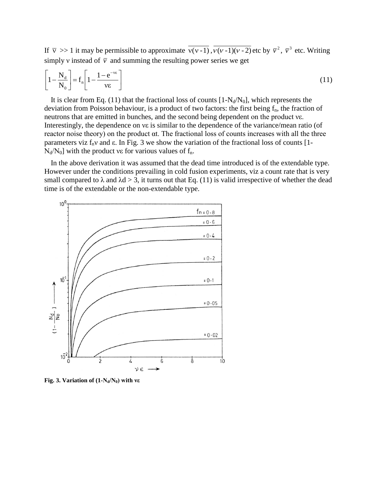If  $\overline{v} \gg 1$  it may be permissible to approximate  $\overline{v(v-1)}$ ,  $\overline{v(v-1)(v-2)}$  etc by  $\overline{v}^2$ ,  $\overline{v}^3$  etc. Writing simply v instead of  $\bar{v}$  and summing the resulting power series we get

$$
\left[1 - \frac{N_d}{N_0}\right] = f_n \left[1 - \frac{1 - e^{-\nu \varepsilon}}{\nu \varepsilon}\right]
$$
\n(11)

It is clear from Eq. (11) that the fractional loss of counts  $[1-N_d/N_0]$ , which represents the deviation from Poisson behaviour, is a product of two factors: the first being  $f_n$ , the fraction of neutrons that are emitted in bunches, and the second being dependent on the product vs. Interestingly, the dependence on νε is similar to the dependence of the variance/mean ratio (of reactor noise theory) on the product  $\alpha t$ . The fractional loss of counts increases with all the three parameters viz  $f_n v$  and  $\varepsilon$ . In Fig. 3 we show the variation of the fractional loss of counts [1- $N_d/N_0$ ] with the product νε for various values of f<sub>n</sub>.

In the above derivation it was assumed that the dead time introduced is of the extendable type. However under the conditions prevailing in cold fusion experiments, viz a count rate that is very small compared to  $\lambda$  and  $\lambda$ d > 3, it turns out that Eq. (11) is valid irrespective of whether the dead time is of the extendable or the non-extendable type.



**Fig. 3. Variation of**  $(1-N_d/N_0)$  **with ve**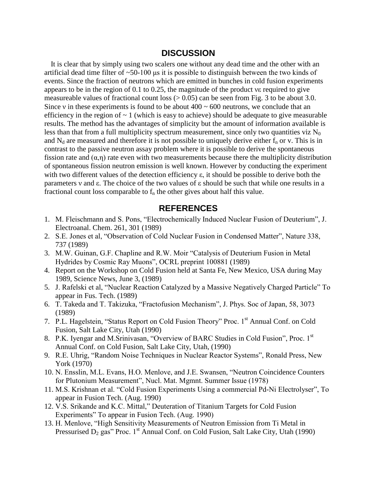## **DISCUSSION**

It is clear that by simply using two scalers one without any dead time and the other with an artificial dead time filter of  $\sim 50-100$  us it is possible to distinguish between the two kinds of events. Since the fraction of neutrons which are emitted in bunches in cold fusion experiments appears to be in the region of  $0.1$  to  $0.25$ , the magnitude of the product verequired to give measureable values of fractional count loss  $(> 0.05)$  can be seen from Fig. 3 to be about 3.0. Since v in these experiments is found to be about  $400 \sim 600$  neutrons, we conclude that an efficiency in the region of  $\sim 1$  (which is easy to achieve) should be adequate to give measurable results. The method has the advantages of simplicity but the amount of information available is less than that from a full multiplicity spectrum measurement, since only two quantities viz  $N_0$ and  $N_d$  are measured and therefore it is not possible to uniquely derive either  $f_n$  or v. This is in contrast to the passive neutron assay problem where it is possible to derive the spontaneous fission rate and  $(\alpha, \eta)$  rate even with two measurements because there the multiplicity distribution of spontaneous fission neutron emission is well known. However by conducting the experiment with two different values of the detection efficiency  $\varepsilon$ , it should be possible to derive both the parameters  $v$  and  $\varepsilon$ . The choice of the two values of  $\varepsilon$  should be such that while one results in a fractional count loss comparable to  $f_n$  the other gives about half this value.

## **REFERENCES**

- 1. M. Fleischmann and S. Pons, "Electrochemically Induced Nuclear Fusion of Deuterium", J. Electroanal. Chem. 261, 301 (1989)
- 2. S.E. Jones et al, "Observation of Cold Nuclear Fusion in Condensed Matter", Nature 338, 737 (1989)
- 3. M.W. Guinan, G.F. Chapline and R.W. Moir "Catalysis of Deuterium Fusion in Metal Hydrides by Cosmic Ray Muons", OCRL preprint 100881 (1989)
- 4. Report on the Workshop on Cold Fusion held at Santa Fe, New Mexico, USA during May 1989, Science News, June 3, (1989)
- 5. J. Rafelski et al, "Nuclear Reaction Catalyzed by a Massive Negatively Charged Particle" To appear in Fus. Tech. (1989)
- 6. T. Takeda and T. Takizuka, "Fractofusion Mechanism", J. Phys. Soc of Japan, 58, 3073 (1989)
- 7. P.L. Hagelstein, "Status Report on Cold Fusion Theory" Proc. 1<sup>st</sup> Annual Conf. on Cold Fusion, Salt Lake City, Utah (1990)
- 8. P.K. Iyengar and M.Srinivasan, "Overview of BARC Studies in Cold Fusion", Proc. 1st Annual Conf. on Cold Fusion, Salt Lake City, Utah, (1990)
- 9. R.E. Uhrig, "Random Noise Techniques in Nuclear Reactor Systems", Ronald Press, New York (1970)
- 10. N. Ensslin, M.L. Evans, H.O. Menlove, and J.E. Swansen, "Neutron Coincidence Counters for Plutonium Measurement", Nucl. Mat. Mgmnt. Summer Issue (1978)
- 11. M.S. Krishnan et al. "Cold Fusion Experiments Using a commercial Pd-Ni Electrolyser", To appear in Fusion Tech. (Aug. 1990)
- 12. V.S. Srikande and K.C. Mittal," Deuteration of Titanium Targets for Cold Fusion Experiments" To appear in Fusion Tech. (Aug. 1990)
- 13. H. Menlove, "High Sensitivity Measurements of Neutron Emission from Ti Metal in Pressurised  $D_2$  gas" Proc. 1<sup>st</sup> Annual Conf. on Cold Fusion, Salt Lake City, Utah (1990)